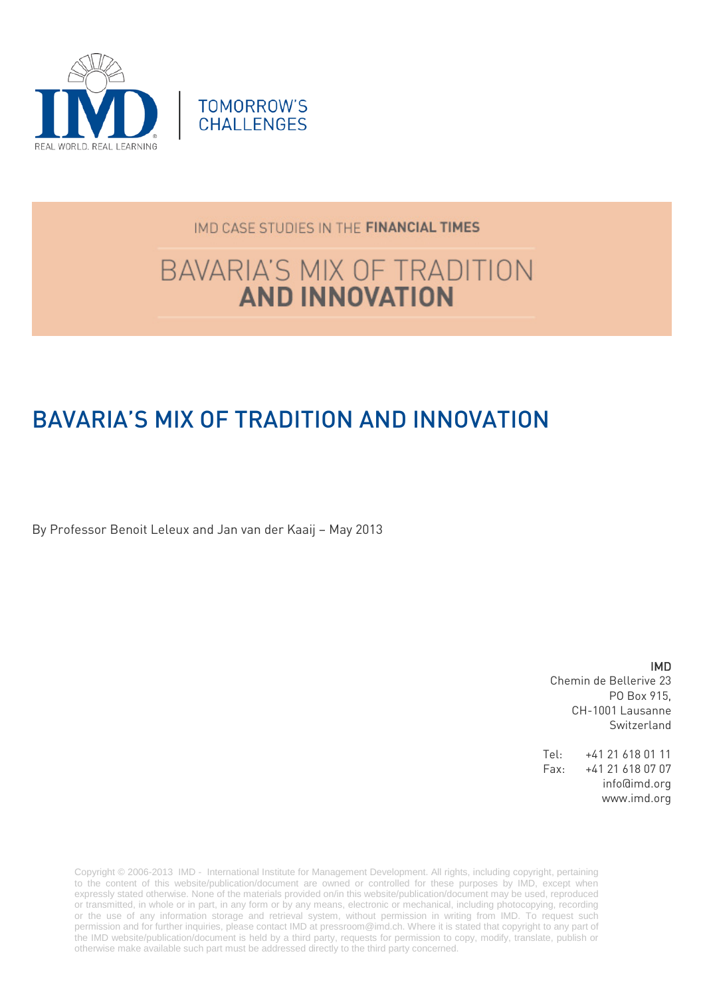

## IMD CASE STUDIES IN THE FINANCIAL TIMES

# **BAVARIA'S MIX OF TRADITION AND INNOVATION**

## BAVARIA'S MIX OF TRADITION AND INNOVATION

By Professor Benoit Leleux and Jan van der Kaaij – May 2013

IMD Chemin de Bellerive 23 PO Box 915, CH-1001 Lausanne Switzerland

Tel: +41 21 618 01 11 Fax: +41 21 618 07 07 info@imd.org www.imd.org

Copyright © 2006-2013 IMD - International Institute for Management Development. All rights, including copyright, pertaining to the content of this website/publication/document are owned or controlled for these purposes by IMD, except when expressly stated otherwise. None of the materials provided on/in this website/publication/document may be used, reproduced or transmitted, in whole or in part, in any form or by any means, electronic or mechanical, including photocopying, recording or the use of any information storage and retrieval system, without permission in writing from IMD. To request such permission and for further inquiries, please contact IMD at [pressroom@imd.ch.](mailto:pressroom@imd.ch) Where it is stated that copyright to any part of the IMD website/publication/document is held by a third party, requests for permission to copy, modify, translate, publish or otherwise make available such part must be addressed directly to the third party concerned.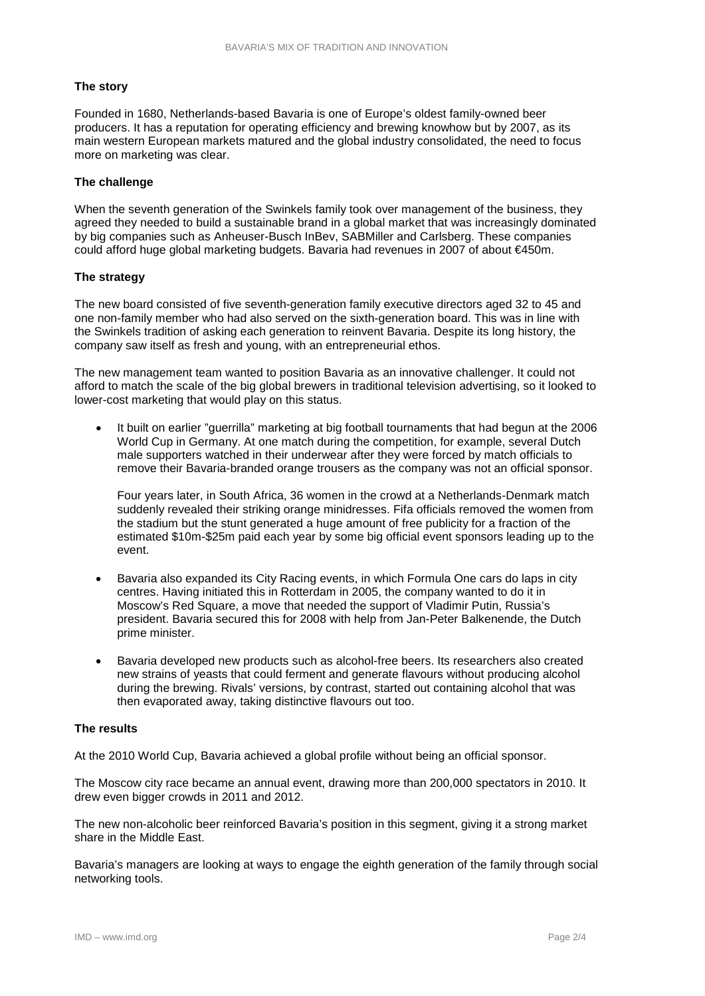#### **The story**

Founded in 1680, Netherlands-based Bavaria is one of Europe's oldest family-owned beer producers. It has a reputation for operating efficiency and brewing knowhow but by 2007, as its main western European markets matured and the global industry consolidated, the need to focus more on marketing was clear.

#### **The challenge**

When the seventh generation of the Swinkels family took over management of the business, they agreed they needed to build a sustainable brand in a global market that was increasingly dominated by big companies such as Anheuser-Busch InBev, SABMiller and Carlsberg. These companies could afford huge global marketing budgets. Bavaria had revenues in 2007 of about €450m.

#### **The strategy**

The new board consisted of five seventh-generation family executive directors aged 32 to 45 and one non-family member who had also served on the sixth-generation board. This was in line with the Swinkels tradition of asking each generation to reinvent Bavaria. Despite its long history, the company saw itself as fresh and young, with an entrepreneurial ethos.

The new management team wanted to position Bavaria as an innovative challenger. It could not afford to match the scale of the big global brewers in traditional television advertising, so it looked to lower-cost marketing that would play on this status.

• It built on earlier "guerrilla" marketing at big football tournaments that had begun at the 2006 World Cup in Germany. At one match during the competition, for example, several Dutch male supporters watched in their underwear after they were forced by match officials to remove their Bavaria-branded orange trousers as the company was not an official sponsor.

Four years later, in South Africa, 36 women in the crowd at a Netherlands-Denmark match suddenly revealed their striking orange minidresses. Fifa officials removed the women from the stadium but the stunt generated a huge amount of free publicity for a fraction of the estimated \$10m-\$25m paid each year by some big official event sponsors leading up to the event.

- Bavaria also expanded its City Racing events, in which Formula One cars do laps in city centres. Having initiated this in Rotterdam in 2005, the company wanted to do it in Moscow's Red Square, a move that needed the support of Vladimir Putin, Russia's president. Bavaria secured this for 2008 with help from Jan-Peter Balkenende, the Dutch prime minister.
- Bavaria developed new products such as alcohol-free beers. Its researchers also created new strains of yeasts that could ferment and generate flavours without producing alcohol during the brewing. Rivals' versions, by contrast, started out containing alcohol that was then evaporated away, taking distinctive flavours out too.

#### **The results**

At the 2010 World Cup, Bavaria achieved a global profile without being an official sponsor.

The Moscow city race became an annual event, drawing more than 200,000 spectators in 2010. It drew even bigger crowds in 2011 and 2012.

The new non-alcoholic beer reinforced Bavaria's position in this segment, giving it a strong market share in the Middle East.

Bavaria's managers are looking at ways to engage the eighth generation of the family through social networking tools.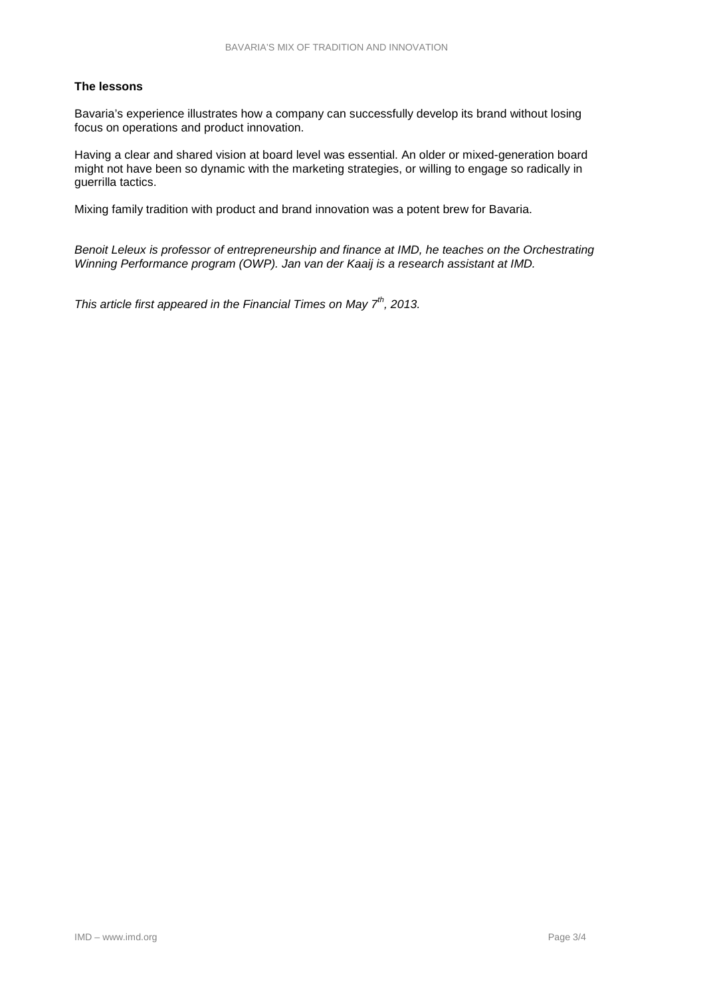#### **The lessons**

Bavaria's experience illustrates how a company can successfully develop its brand without losing focus on operations and product innovation.

Having a clear and shared vision at board level was essential. An older or mixed-generation board might not have been so dynamic with the marketing strategies, or willing to engage so radically in guerrilla tactics.

Mixing family tradition with product and brand innovation was a potent brew for Bavaria.

*Benoit Leleux is professor of entrepreneurship and finance at IMD, he teaches on the Orchestrating Winning Performance program (OWP). Jan van der Kaaij is a research assistant at IMD.*

*This article first appeared in the Financial Times on May 7th, 2013.*